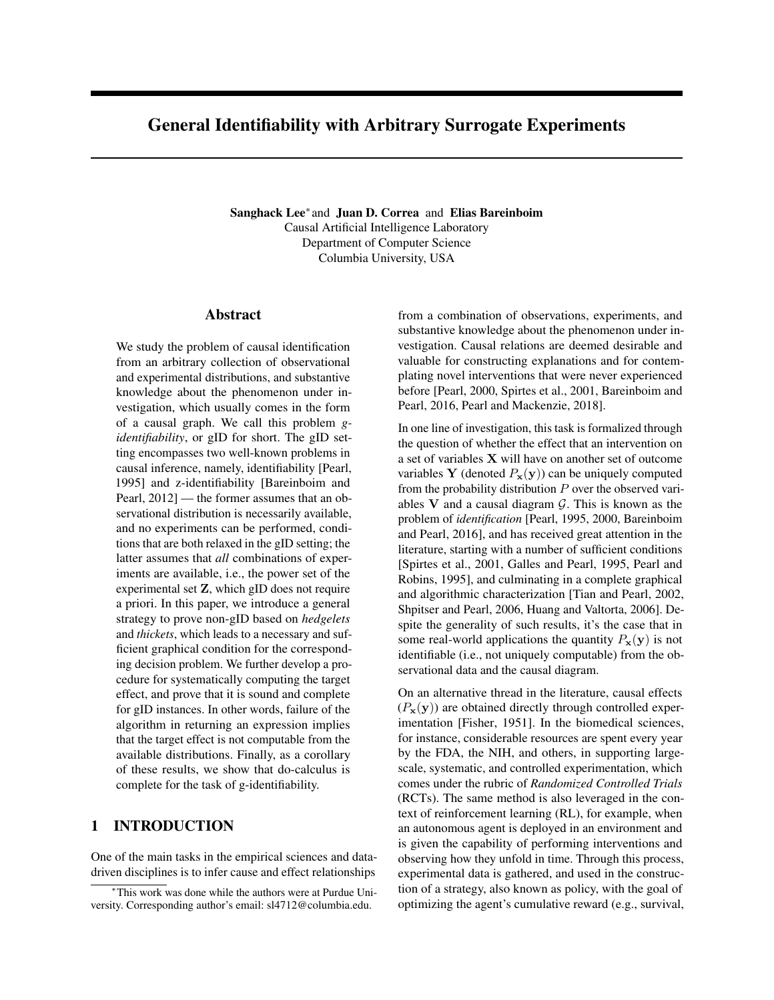# General Identifiability with Arbitrary Surrogate Experiments

Sanghack Lee<sup>\*</sup> and Juan D. Correa and Elias Bareinboim Causal Artificial Intelligence Laboratory Department of Computer Science Columbia University, USA

#### Abstract

We study the problem of causal identification from an arbitrary collection of observational and experimental distributions, and substantive knowledge about the phenomenon under investigation, which usually comes in the form of a causal graph. We call this problem *gidentifiability*, or gID for short. The gID setting encompasses two well-known problems in causal inference, namely, identifiability [Pearl, 1995] and z-identifiability [Bareinboim and Pearl, 2012] — the former assumes that an observational distribution is necessarily available, and no experiments can be performed, conditions that are both relaxed in the gID setting; the latter assumes that *all* combinations of experiments are available, i.e., the power set of the experimental set Z, which gID does not require a priori. In this paper, we introduce a general strategy to prove non-gID based on *hedgelets* and *thickets*, which leads to a necessary and sufficient graphical condition for the corresponding decision problem. We further develop a procedure for systematically computing the target effect, and prove that it is sound and complete for gID instances. In other words, failure of the algorithm in returning an expression implies that the target effect is not computable from the available distributions. Finally, as a corollary of these results, we show that do-calculus is complete for the task of g-identifiability.

## 1 INTRODUCTION

One of the main tasks in the empirical sciences and datadriven disciplines is to infer cause and effect relationships

from a combination of observations, experiments, and substantive knowledge about the phenomenon under investigation. Causal relations are deemed desirable and valuable for constructing explanations and for contemplating novel interventions that were never experienced before [Pearl, 2000, Spirtes et al., 2001, Bareinboim and Pearl, 2016, Pearl and Mackenzie, 2018].

In one line of investigation, this task is formalized through the question of whether the effect that an intervention on a set of variables X will have on another set of outcome variables Y (denoted  $P_x(y)$ ) can be uniquely computed from the probability distribution *P* over the observed variables V and a causal diagram *G*. This is known as the problem of *identification* [Pearl, 1995, 2000, Bareinboim and Pearl, 2016], and has received great attention in the literature, starting with a number of sufficient conditions [Spirtes et al., 2001, Galles and Pearl, 1995, Pearl and Robins, 1995], and culminating in a complete graphical and algorithmic characterization [Tian and Pearl, 2002, Shpitser and Pearl, 2006, Huang and Valtorta, 2006]. Despite the generality of such results, it's the case that in some real-world applications the quantity  $P_x(y)$  is not identifiable (i.e., not uniquely computable) from the observational data and the causal diagram.

On an alternative thread in the literature, causal effects  $(P_x(y))$  are obtained directly through controlled experimentation [Fisher, 1951]. In the biomedical sciences, for instance, considerable resources are spent every year by the FDA, the NIH, and others, in supporting largescale, systematic, and controlled experimentation, which comes under the rubric of *Randomized Controlled Trials* (RCTs). The same method is also leveraged in the context of reinforcement learning (RL), for example, when an autonomous agent is deployed in an environment and is given the capability of performing interventions and observing how they unfold in time. Through this process, experimental data is gathered, and used in the construction of a strategy, also known as policy, with the goal of optimizing the agent's cumulative reward (e.g., survival,

<sup>⇤</sup>This work was done while the authors were at Purdue University. Corresponding author's email: sl4712@columbia.edu.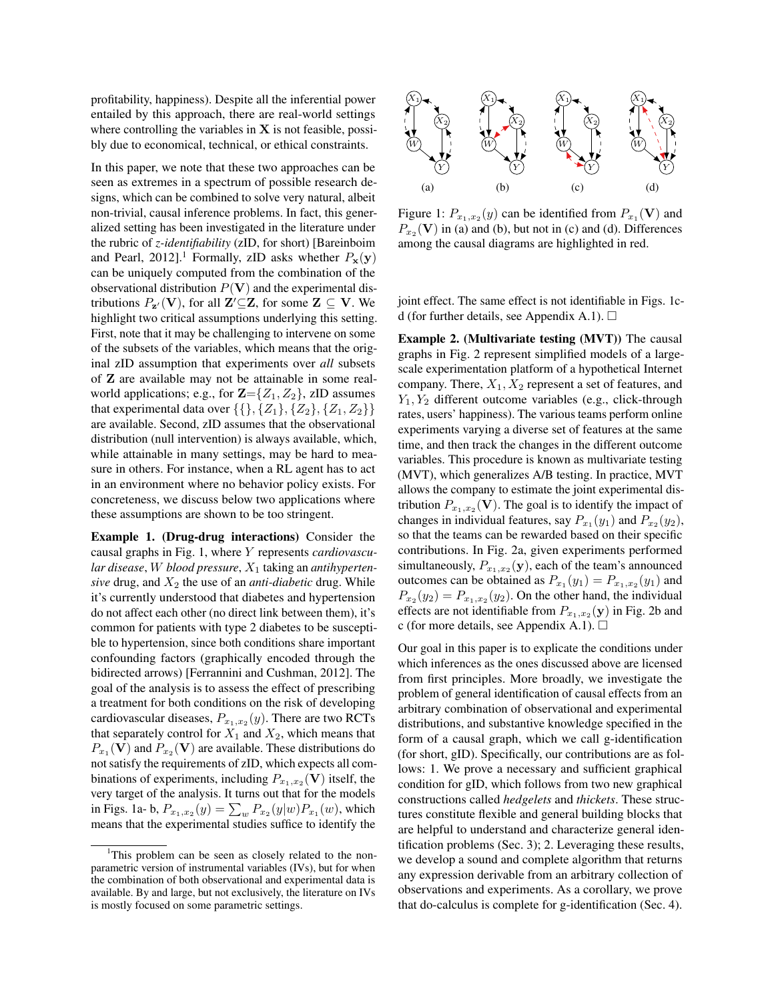profitability, happiness). Despite all the inferential power entailed by this approach, there are real-world settings where controlling the variables in  $X$  is not feasible, possibly due to economical, technical, or ethical constraints.

In this paper, we note that these two approaches can be seen as extremes in a spectrum of possible research designs, which can be combined to solve very natural, albeit non-trivial, causal inference problems. In fact, this generalized setting has been investigated in the literature under the rubric of *z-identifiability* (zID, for short) [Bareinboim and Pearl, 2012].<sup>1</sup> Formally, zID asks whether  $P_x(y)$ can be uniquely computed from the combination of the observational distribution  $P(V)$  and the experimental distributions  $P_{\mathbf{z}'}(\mathbf{V})$ , for all  $\mathbf{Z}' \subseteq \mathbf{Z}$ , for some  $\mathbf{Z} \subseteq \mathbf{V}$ . We highlight two critical assumptions underlying this setting. First, note that it may be challenging to intervene on some of the subsets of the variables, which means that the original zID assumption that experiments over *all* subsets of Z are available may not be attainable in some realworld applications; e.g., for  $\mathbb{Z} = \{Z_1, Z_2\}$ , zID assumes that experimental data over  $\{\{\}, \{Z_1\}, \{Z_2\}, \{Z_1, Z_2\}\}\$ are available. Second, zID assumes that the observational distribution (null intervention) is always available, which, while attainable in many settings, may be hard to measure in others. For instance, when a RL agent has to act in an environment where no behavior policy exists. For concreteness, we discuss below two applications where these assumptions are shown to be too stringent.

Example 1. (Drug-drug interactions) Consider the causal graphs in Fig. 1, where *Y* represents *cardiovascular disease*, *W blood pressure*, *X*<sup>1</sup> taking an *antihypertensive* drug, and  $X_2$  the use of an *anti-diabetic* drug. While it's currently understood that diabetes and hypertension do not affect each other (no direct link between them), it's common for patients with type 2 diabetes to be susceptible to hypertension, since both conditions share important confounding factors (graphically encoded through the bidirected arrows) [Ferrannini and Cushman, 2012]. The goal of the analysis is to assess the effect of prescribing a treatment for both conditions on the risk of developing cardiovascular diseases,  $P_{x_1,x_2}(y)$ . There are two RCTs that separately control for  $X_1$  and  $X_2$ , which means that  $P_{x_1}$ (V) and  $P_{x_2}$ (V) are available. These distributions do not satisfy the requirements of zID, which expects all combinations of experiments, including  $P_{x_1,x_2}(\mathbf{V})$  itself, the very target of the analysis. It turns out that for the models in Figs. 1a- b,  $P_{x_1,x_2}(y) = \sum_{w} P_{x_2}(y|w) P_{x_1}(w)$ , which means that the experimental studies suffice to identify the



Figure 1:  $P_{x_1,x_2}(y)$  can be identified from  $P_{x_1}(\mathbf{V})$  and  $P_{x_2}$ (V) in (a) and (b), but not in (c) and (d). Differences among the causal diagrams are highlighted in red.

joint effect. The same effect is not identifiable in Figs. 1cd (for further details, see Appendix A.1).  $\Box$ 

Example 2. (Multivariate testing (MVT)) The causal graphs in Fig. 2 represent simplified models of a largescale experimentation platform of a hypothetical Internet company. There, *X*1*, X*<sup>2</sup> represent a set of features, and *Y*1*, Y*<sup>2</sup> different outcome variables (e.g., click-through rates, users' happiness). The various teams perform online experiments varying a diverse set of features at the same time, and then track the changes in the different outcome variables. This procedure is known as multivariate testing (MVT), which generalizes A/B testing. In practice, MVT allows the company to estimate the joint experimental distribution  $P_{x_1,x_2}(\mathbf{V})$ . The goal is to identify the impact of changes in individual features, say  $P_{x_1}(y_1)$  and  $P_{x_2}(y_2)$ , so that the teams can be rewarded based on their specific contributions. In Fig. 2a, given experiments performed simultaneously,  $P_{x_1,x_2}(\mathbf{y})$ , each of the team's announced outcomes can be obtained as  $P_{x_1}(y_1) = P_{x_1,x_2}(y_1)$  and  $P_{x_2}(y_2) = P_{x_1,x_2}(y_2)$ . On the other hand, the individual effects are not identifiable from  $P_{x_1,x_2}(\mathbf{y})$  in Fig. 2b and c (for more details, see Appendix A.1).  $\Box$ 

Our goal in this paper is to explicate the conditions under which inferences as the ones discussed above are licensed from first principles. More broadly, we investigate the problem of general identification of causal effects from an arbitrary combination of observational and experimental distributions, and substantive knowledge specified in the form of a causal graph, which we call g-identification (for short, gID). Specifically, our contributions are as follows: 1. We prove a necessary and sufficient graphical condition for gID, which follows from two new graphical constructions called *hedgelets* and *thickets*. These structures constitute flexible and general building blocks that are helpful to understand and characterize general identification problems (Sec. 3); 2. Leveraging these results, we develop a sound and complete algorithm that returns any expression derivable from an arbitrary collection of observations and experiments. As a corollary, we prove that do-calculus is complete for g-identification (Sec. 4).

<sup>&</sup>lt;sup>1</sup>This problem can be seen as closely related to the nonparametric version of instrumental variables (IVs), but for when the combination of both observational and experimental data is available. By and large, but not exclusively, the literature on IVs is mostly focused on some parametric settings.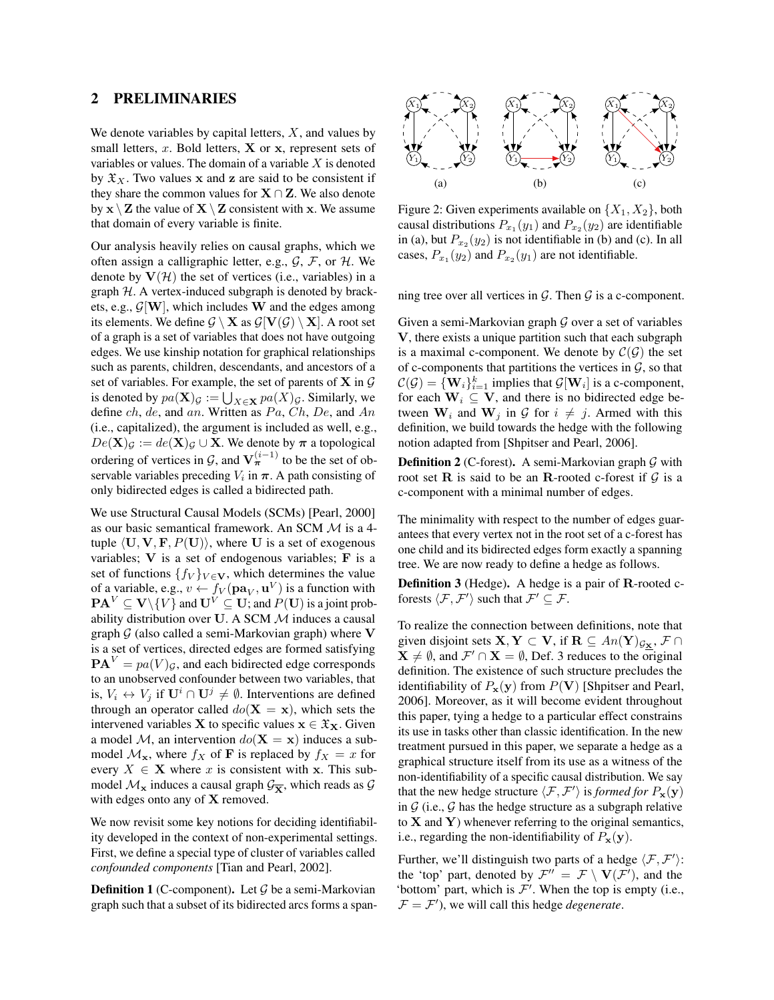#### 2 PRELIMINARIES

We denote variables by capital letters, *X*, and values by small letters, *x*. Bold letters, **X** or **x**, represent sets of variables or values. The domain of a variable *X* is denoted by  $\mathfrak{X}_X$ . Two values x and z are said to be consistent if they share the common values for  $X \cap Z$ . We also denote by  $x \setminus Z$  the value of  $X \setminus Z$  consistent with x. We assume that domain of every variable is finite.

Our analysis heavily relies on causal graphs, which we often assign a calligraphic letter, e.g., *G*, *F*, or *H*. We denote by  $V(\mathcal{H})$  the set of vertices (i.e., variables) in a graph *H*. A vertex-induced subgraph is denoted by brackets, e.g., *G*[W], which includes W and the edges among its elements. We define  $G \setminus X$  as  $G[V(G) \setminus X]$ . A root set of a graph is a set of variables that does not have outgoing edges. We use kinship notation for graphical relationships such as parents, children, descendants, and ancestors of a set of variables. For example, the set of parents of X in *G* is denoted by  $pa(\mathbf{X})_G := \bigcup_{X \in \mathbf{X}} pa(X)_G$ . Similarly, we define *ch*, *de*, and *an*. Written as *P a*, *Ch*, *De*, and *An* (i.e., capitalized), the argument is included as well, e.g.,  $De(X)_{\mathcal{G}} := de(X)_{\mathcal{G}} \cup X$ . We denote by  $\pi$  a topological ordering of vertices in  $\mathcal{G}$ , and  $\mathbf{V}_{\pi}^{(i-1)}$  to be the set of observable variables preceding  $V_i$  in  $\pi$ . A path consisting of only bidirected edges is called a bidirected path.

We use Structural Causal Models (SCMs) [Pearl, 2000] as our basic semantical framework. An SCM *M* is a 4 tuple  $\langle U, V, F, P(U) \rangle$ , where U is a set of exogenous variables; V is a set of endogenous variables; F is a set of functions  $\{f_V\}_{V \in \mathbf{V}}$ , which determines the value of a variable, e.g.,  $v \leftarrow f_V(\mathbf{pa}_V, \mathbf{u}^V)$  is a function with  $\mathbf{PA}^V \subseteq \mathbf{V} \setminus \{V\}$  and  $\mathbf{U}^V \subseteq \mathbf{U}$ ; and  $P(\mathbf{U})$  is a joint probability distribution over U. A SCM *M* induces a causal graph *G* (also called a semi-Markovian graph) where V is a set of vertices, directed edges are formed satisfying  $\mathbf{PA}^{V} = pa(V)g$ , and each bidirected edge corresponds to an unobserved confounder between two variables, that is,  $V_i \leftrightarrow V_j$  if  $\mathbf{U}^i \cap \mathbf{U}^j \neq \emptyset$ . Interventions are defined through an operator called  $do(X = x)$ , which sets the intervened variables **X** to specific values  $x \in \mathfrak{X}_X$ . Given a model *M*, an intervention  $do(X = x)$  induces a submodel  $\mathcal{M}_{\mathbf{x}}$ , where  $f_X$  of **F** is replaced by  $f_X = x$  for every  $X \in \mathbf{X}$  where *x* is consistent with **x**. This submodel  $\mathcal{M}_x$  induces a causal graph  $\mathcal{G}_{\overline{X}}$ , which reads as  $\mathcal{G}$ with edges onto any of X removed.

We now revisit some key notions for deciding identifiability developed in the context of non-experimental settings. First, we define a special type of cluster of variables called *confounded components* [Tian and Pearl, 2002].

**Definition 1** (C-component). Let G be a semi-Markovian graph such that a subset of its bidirected arcs forms a span-



Figure 2: Given experiments available on  $\{X_1, X_2\}$ , both causal distributions  $P_{x_1}(y_1)$  and  $P_{x_2}(y_2)$  are identifiable in (a), but  $P_{x_2}(y_2)$  is not identifiable in (b) and (c). In all cases,  $P_{x_1}(y_2)$  and  $P_{x_2}(y_1)$  are not identifiable.

ning tree over all vertices in  $G$ . Then  $G$  is a c-component.

Given a semi-Markovian graph *G* over a set of variables V, there exists a unique partition such that each subgraph is a maximal c-component. We denote by  $C(G)$  the set of c-components that partitions the vertices in  $G$ , so that  $\mathcal{C}(\mathcal{G}) = {\mathbf{W}_i}_{i=1}^k$  implies that  $\mathcal{G}[\mathbf{W}_i]$  is a c-component, for each  $W_i \subseteq V$ , and there is no bidirected edge between  $W_i$  and  $W_j$  in  $G$  for  $i \neq j$ . Armed with this definition, we build towards the hedge with the following notion adapted from [Shpitser and Pearl, 2006].

Definition 2 (C-forest). A semi-Markovian graph *G* with root set  $\bf{R}$  is said to be an  $\bf{R}$ -rooted c-forest if  $\cal{G}$  is a c-component with a minimal number of edges.

The minimality with respect to the number of edges guarantees that every vertex not in the root set of a c-forest has one child and its bidirected edges form exactly a spanning tree. We are now ready to define a hedge as follows.

Definition 3 (Hedge). A hedge is a pair of R-rooted cforests  $\langle \mathcal{F}, \mathcal{F}' \rangle$  such that  $\mathcal{F}' \subseteq \mathcal{F}$ .

To realize the connection between definitions, note that given disjoint sets  $X, Y \subset V$ , if  $R \subseteq An(Y)_{\mathcal{G}_X}, \mathcal{F} \cap$  $X \neq \emptyset$ , and  $\mathcal{F}' \cap X = \emptyset$ , Def. 3 reduces to the original definition. The existence of such structure precludes the identifiability of  $P_x(y)$  from  $P(V)$  [Shpitser and Pearl, 2006]. Moreover, as it will become evident throughout this paper, tying a hedge to a particular effect constrains its use in tasks other than classic identification. In the new treatment pursued in this paper, we separate a hedge as a graphical structure itself from its use as a witness of the non-identifiability of a specific causal distribution. We say that the new hedge structure  $\langle \mathcal{F}, \mathcal{F}' \rangle$  is *formed for*  $P_{\mathbf{x}}(\mathbf{y})$ in  $G$  (i.e.,  $G$  has the hedge structure as a subgraph relative to  $X$  and  $Y$ ) whenever referring to the original semantics, i.e., regarding the non-identifiability of  $P_x(y)$ .

Further, we'll distinguish two parts of a hedge  $\langle F, F' \rangle$ : the 'top' part, denoted by  $\mathcal{F}^{\prime\prime} = \mathcal{F} \setminus \mathbf{V}(\mathcal{F}^{\prime})$ , and the 'bottom' part, which is  $\mathcal{F}'$ . When the top is empty (i.e.,  $F = \mathcal{F}'$ , we will call this hedge *degenerate*.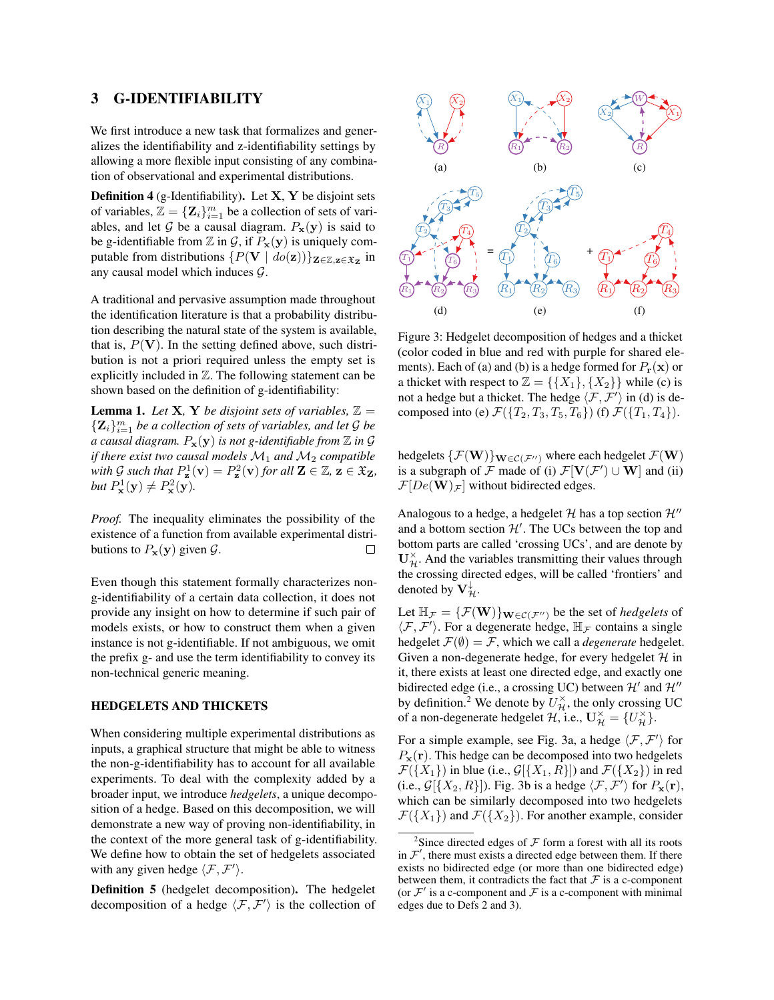#### 3 G-IDENTIFIABILITY

We first introduce a new task that formalizes and generalizes the identifiability and z-identifiability settings by allowing a more flexible input consisting of any combination of observational and experimental distributions.

**Definition 4** (g-Identifiability). Let  $X$ ,  $Y$  be disjoint sets of variables,  $\mathbb{Z} = {\mathbf{Z}_i}_{i=1}^m$  be a collection of sets of variables, and let  $G$  be a causal diagram.  $P_x(y)$  is said to be g-identifiable from  $\mathbb Z$  in  $\mathcal G$ , if  $P_{\mathbf x}(\mathbf y)$  is uniquely computable from distributions  $\{P(\mathbf{V} \mid do(\mathbf{z}))\}_{\mathbf{Z}\in\mathbb{Z},\mathbf{z}\in\mathfrak{X}_{\mathbf{Z}}}$  in any causal model which induces *G*.

A traditional and pervasive assumption made throughout the identification literature is that a probability distribution describing the natural state of the system is available, that is,  $P(V)$ . In the setting defined above, such distribution is not a priori required unless the empty set is explicitly included in  $Z$ . The following statement can be shown based on the definition of g-identifiability:

**Lemma 1.** Let **X**, **Y** be disjoint sets of variables,  $\mathbb{Z} =$  ${Z_i}_{i=1}^m$  *be a collection of sets of variables, and let*  $G$  *be a causal diagram.*  $P_x(y)$  *is not g-identifiable from*  $\mathbb Z$  *in*  $\mathcal G$ *if there exist two causal models*  $M_1$  *and*  $M_2$  *compatible with*  $G$  *such that*  $P_{\mathbf{z}}^1(\mathbf{v}) = P_{\mathbf{z}}^2(\mathbf{v})$  *for all*  $\mathbf{Z} \in \mathbb{Z}$ ,  $\mathbf{z} \in \mathfrak{X}_{\mathbf{Z}}$ , but  $P^1_{\mathbf{x}}(\mathbf{y}) \neq P^2_{\mathbf{x}}(\mathbf{y})$ *.* 

*Proof.* The inequality eliminates the possibility of the existence of a function from available experimental distributions to  $P_x(y)$  given  $\mathcal{G}$ .  $\Box$ 

Even though this statement formally characterizes nong-identifiability of a certain data collection, it does not provide any insight on how to determine if such pair of models exists, or how to construct them when a given instance is not g-identifiable. If not ambiguous, we omit the prefix g- and use the term identifiability to convey its non-technical generic meaning.

#### HEDGELETS AND THICKETS

When considering multiple experimental distributions as inputs, a graphical structure that might be able to witness the non-g-identifiability has to account for all available experiments. To deal with the complexity added by a broader input, we introduce *hedgelets*, a unique decomposition of a hedge. Based on this decomposition, we will demonstrate a new way of proving non-identifiability, in the context of the more general task of g-identifiability. We define how to obtain the set of hedgelets associated with any given hedge  $\langle \mathcal{F}, \mathcal{F}' \rangle$ .

Definition 5 (hedgelet decomposition). The hedgelet decomposition of a hedge  $\langle F, F' \rangle$  is the collection of



Figure 3: Hedgelet decomposition of hedges and a thicket (color coded in blue and red with purple for shared elements). Each of (a) and (b) is a hedge formed for  $P_{\bf r}({\bf x})$  or a thicket with respect to  $\mathbb{Z} = \{\{X_1\}, \{X_2\}\}\$  while (c) is not a hedge but a thicket. The hedge  $\langle F, \mathcal{F}' \rangle$  in (d) is decomposed into (e)  $\mathcal{F}({T_2, T_3, T_5, T_6})$  (f)  $\mathcal{F}({T_1, T_4})$ .

hedgelets  $\{\mathcal{F}(\mathbf{W})\}_{\mathbf{W}\in\mathcal{C}(\mathcal{F}^{\prime\prime})}$  where each hedgelet  $\mathcal{F}(\mathbf{W})$ is a subgraph of *F* made of (i)  $\mathcal{F}[\mathbf{V}(\mathcal{F}') \cup \mathbf{W}]$  and (ii)  $\mathcal{F}[De(\mathbf{W})_{\mathcal{F}}]$  without bidirected edges.

Analogous to a hedge, a hedgelet  $H$  has a top section  $H''$ and a bottom section  $\mathcal{H}'$ . The UCs between the top and bottom parts are called 'crossing UCs', and are denote by  $U_{\mathcal{H}}^{\times}$ . And the variables transmitting their values through the crossing directed edges, will be called 'frontiers' and denoted by  $\mathbf{V}_{\mathcal{H}}^{\downarrow}$ .

Let  $\mathbb{H}_{\mathcal{F}} = {\{\mathcal{F}(\mathbf{W})\}}_{\mathbf{W} \in \mathcal{C}(\mathcal{F}^{\prime\prime})}$  be the set of *hedgelets* of  $\langle \mathcal{F}, \mathcal{F}' \rangle$ . For a degenerate hedge,  $\mathbb{H}_{\mathcal{F}}$  contains a single hedgelet  $\mathcal{F}(\emptyset) = \mathcal{F}$ , which we call a *degenerate* hedgelet. Given a non-degenerate hedge, for every hedgelet *H* in it, there exists at least one directed edge, and exactly one bidirected edge (i.e., a crossing UC) between  $\mathcal{H}'$  and  $\mathcal{H}''$ by definition.<sup>2</sup> We denote by  $U_{\mathcal{H}}^{\times}$ , the only crossing UC of a non-degenerate hedgelet  $\mathcal{H}$ , i.e.,  $\mathbf{U}_{\mathcal{H}}^{\times} = \{U_{\mathcal{H}}^{\times}\}.$ 

For a simple example, see Fig. 3a, a hedge  $\langle F, \mathcal{F}' \rangle$  for  $P_x(r)$ . This hedge can be decomposed into two hedgelets  $\mathcal{F}(\lbrace X_1 \rbrace)$  in blue (i.e.,  $\mathcal{G}[\lbrace X_1, R \rbrace]$ ) and  $\mathcal{F}(\lbrace X_2 \rbrace)$  in red (i.e.,  $\mathcal{G}[\{X_2, R\}]$ ). Fig. 3b is a hedge  $\langle \mathcal{F}, \mathcal{F}' \rangle$  for  $P_{\mathbf{x}}(\mathbf{r})$ , which can be similarly decomposed into two hedgelets  $\mathcal{F}(\{X_1\})$  and  $\mathcal{F}(\{X_2\})$ . For another example, consider

<sup>&</sup>lt;sup>2</sup>Since directed edges of  $F$  form a forest with all its roots in  $\mathcal{F}'$ , there must exists a directed edge between them. If there exists no bidirected edge (or more than one bidirected edge) between them, it contradicts the fact that  $\mathcal F$  is a c-component (or  $\mathcal{F}'$  is a c-component and  $\mathcal F$  is a c-component with minimal edges due to Defs 2 and 3).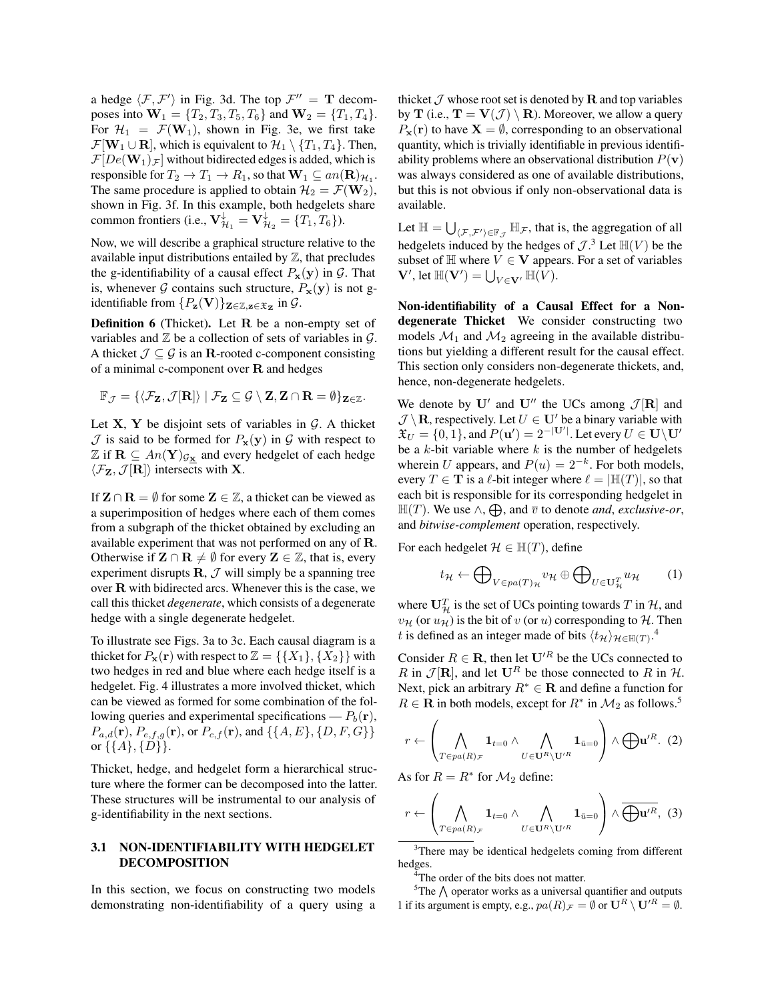a hedge  $\langle F, \mathcal{F}' \rangle$  in Fig. 3d. The top  $\mathcal{F}'' = \mathbf{T}$  decomposes into  $W_1 = \{T_2, T_3, T_5, T_6\}$  and  $W_2 = \{T_1, T_4\}.$ For  $\mathcal{H}_1 = \mathcal{F}(\mathbf{W}_1)$ , shown in Fig. 3e, we first take  $\mathcal{F}[\mathbf{W}_1 \cup \mathbf{R}]$ , which is equivalent to  $\mathcal{H}_1 \setminus \{T_1, T_4\}$ . Then,  $\mathcal{F}[De(\mathbf{W}_1)_\mathcal{F}]$  without bidirected edges is added, which is responsible for  $T_2 \to T_1 \to R_1$ , so that  $\mathbf{W}_1 \subseteq an(\mathbf{R})_{\mathcal{H}_1}$ . The same procedure is applied to obtain  $\mathcal{H}_2 = \mathcal{F}(\mathbf{W}_2)$ , shown in Fig. 3f. In this example, both hedgelets share common frontiers (i.e.,  $\mathbf{V}_{\mathcal{H}_1}^{\downarrow} = \mathbf{V}_{\mathcal{H}_2}^{\downarrow} = \{T_1, T_6\}$ ).

Now, we will describe a graphical structure relative to the available input distributions entailed by  $\mathbb Z$ , that precludes the g-identifiability of a causal effect  $P_x(y)$  in  $G$ . That is, whenever *G* contains such structure,  $P_x(y)$  is not gidentifiable from  $\{P_{\mathbf{z}}(\mathbf{V})\}_{\mathbf{Z}\in\mathbb{Z},\mathbf{z}\in\mathfrak{X}_{\mathbf{Z}}}$  in  $\mathcal{G}$ .

Definition 6 (Thicket). Let R be a non-empty set of variables and Z be a collection of sets of variables in *G*. A thicket  $\mathcal{J} \subseteq \mathcal{G}$  is an R-rooted c-component consisting of a minimal c-component over  $R$  and hedges

$$
\mathbb{F}_{\mathcal{J}} = \{ \langle \mathcal{F}_{\mathbf{Z}}, \mathcal{J}[\mathbf{R}] \rangle \mid \mathcal{F}_{\mathbf{Z}} \subseteq \mathcal{G} \setminus \mathbf{Z}, \mathbf{Z} \cap \mathbf{R} = \emptyset \}_{\mathbf{Z} \in \mathbb{Z}}.
$$

Let  $X, Y$  be disjoint sets of variables in  $G$ . A thicket  $\mathcal J$  is said to be formed for  $P_{\mathbf x}(\mathbf y)$  in  $\mathcal G$  with respect to  $\mathbb{Z}$  if  $\mathbf{R} \subseteq An(\mathbf{Y})_{\mathcal{G}_{\mathbf{X}}}$  and every hedgelet of each hedge  $\langle \mathcal{F}_{\mathbf{Z}}, \mathcal{J}[\mathbf{R}] \rangle$  intersects with **X**.

If  $\mathbf{Z} \cap \mathbf{R} = \emptyset$  for some  $\mathbf{Z} \in \mathbb{Z}$ , a thicket can be viewed as a superimposition of hedges where each of them comes from a subgraph of the thicket obtained by excluding an available experiment that was not performed on any of R. Otherwise if  $\mathbf{Z} \cap \mathbf{R} \neq \emptyset$  for every  $\mathbf{Z} \in \mathbb{Z}$ , that is, every experiment disrupts  $\mathbf{R}, \mathcal{J}$  will simply be a spanning tree over R with bidirected arcs. Whenever this is the case, we call this thicket *degenerate*, which consists of a degenerate hedge with a single degenerate hedgelet.

To illustrate see Figs. 3a to 3c. Each causal diagram is a thicket for  $P_x(\mathbf{r})$  with respect to  $\mathbb{Z} = \{\{X_1\}, \{X_2\}\}\$  with two hedges in red and blue where each hedge itself is a hedgelet. Fig. 4 illustrates a more involved thicket, which can be viewed as formed for some combination of the following queries and experimental specifications —  $P_b(\mathbf{r})$ , *Pa,d*(r), *Pe,f,g*(r), or *Pc,f* (r), and *{{A, E}, {D, F, G}}* or  $\{\{A\}, \{D\}\}.$ 

Thicket, hedge, and hedgelet form a hierarchical structure where the former can be decomposed into the latter. These structures will be instrumental to our analysis of g-identifiability in the next sections.

### 3.1 NON-IDENTIFIABILITY WITH HEDGELET DECOMPOSITION

In this section, we focus on constructing two models demonstrating non-identifiability of a query using a thicket  $\mathcal J$  whose root set is denoted by  $\mathbf R$  and top variables by **T** (i.e.,  $\mathbf{T} = \mathbf{V}(\mathcal{J}) \setminus \mathbf{R}$ ). Moreover, we allow a query  $P_x(\mathbf{r})$  to have  $\mathbf{X} = \emptyset$ , corresponding to an observational quantity, which is trivially identifiable in previous identifiability problems where an observational distribution  $P(\mathbf{v})$ was always considered as one of available distributions, but this is not obvious if only non-observational data is available.

Let  $\mathbb{H} = \bigcup_{\langle \mathcal{F}, \mathcal{F}' \rangle \in \mathbb{F}_{\mathcal{J}}} \mathbb{H}_{\mathcal{F}}$ , that is, the aggregation of all hedgelets induced by the hedges of  $\mathcal{J}$ .<sup>3</sup> Let  $\mathbb{H}(V)$  be the subset of  $\mathbb H$  where  $V \in V$  appears. For a set of variables  $\mathbf{V}',$  let  $\mathbb{H}(\mathbf{V}') = \bigcup_{V \in \mathbf{V}'} \mathbb{H}(V)$ .

Non-identifiability of a Causal Effect for a Nondegenerate Thicket We consider constructing two models  $\mathcal{M}_1$  and  $\mathcal{M}_2$  agreeing in the available distributions but yielding a different result for the causal effect. This section only considers non-degenerate thickets, and, hence, non-degenerate hedgelets.

We denote by U' and U'' the UCs among  $\mathcal{J}[\mathbf{R}]$  and  $\mathcal{J}\setminus\mathbf{R}$ , respectively. Let  $U\in\mathbf{U}'$  be a binary variable with  $\mathfrak{X}_U = \{0, 1\}$ , and  $P(\mathbf{u}') = 2^{-|\mathbf{U}'|}$ . Let every  $U \in \mathbf{U} \setminus \mathbf{U}'$ be a *k*-bit variable where *k* is the number of hedgelets wherein *U* appears, and  $P(u)=2^{-k}$ . For both models, every  $T \in \mathbf{T}$  is a  $\ell$ -bit integer where  $\ell = |\mathbb{H}(T)|$ , so that each bit is responsible for its corresponding hedgelet in  $\mathbb{H}(T)$ . We use  $\wedge$ ,  $\bigoplus$ , and  $\overline{v}$  to denote *and*, *exclusive-or*, and *bitwise-complement* operation, respectively.

For each hedgelet  $\mathcal{H} \in \mathbb{H}(T)$ , define

$$
t_{\mathcal{H}} \leftarrow \bigoplus_{V \in pa(T)_{\mathcal{H}}} v_{\mathcal{H}} \oplus \bigoplus_{U \in \mathbf{U}_{\mathcal{H}}^T} u_{\mathcal{H}} \qquad (1)
$$

where  $U_{\mathcal{H}}^T$  is the set of UCs pointing towards *T* in  $\mathcal{H}$ , and  $v_H$  (or  $u_H$ ) is the bit of *v* (or *u*) corresponding to *H*. Then *t* is defined as an integer made of bits  $\langle t_H \rangle_{\mathcal{H} \in \mathbb{H}(T)}$ .<sup>4</sup>

Consider  $R \in \mathbf{R}$ , then let  $\mathbf{U}^{\prime R}$  be the UCs connected to *R* in  $\mathcal{J}[\mathbf{R}]$ , and let  $\mathbf{U}^R$  be those connected to *R* in *H*. Next, pick an arbitrary  $R^* \in \mathbf{R}$  and define a function for  $R \in \mathbf{R}$  in both models, except for  $R^*$  in  $\mathcal{M}_2$  as follows.<sup>5</sup>

$$
r \leftarrow \left(\bigwedge_{T \in pa(R)\mathcal{F}} \mathbf{1}_{t=0} \wedge \bigwedge_{U \in \mathbf{U}^R \setminus \mathbf{U}^{\prime R}} \mathbf{1}_{\bar{u}=0} \right) \wedge \bigoplus \mathbf{u}^{\prime R}. (2)
$$

As for  $R = R^*$  for  $\mathcal{M}_2$  define:

$$
r \leftarrow \left(\bigwedge_{T \in pa(R)\mathcal{F}} \mathbf{1}_{t=0} \wedge \bigwedge_{U \in \mathbf{U}^R \setminus \mathbf{U}'^R} \mathbf{1}_{\bar{u}=0}\right) \wedge \overline{\bigoplus \mathbf{u}'^R}, \tag{3}
$$

<sup>3</sup>There may be identical hedgelets coming from different hedges.

<sup>4</sup>The order of the bits does not matter.

 $5$ The  $\bigwedge$  operator works as a universal quantifier and outputs 1 if its argument is empty, e.g.,  $pa(R)_{\mathcal{F}} = \emptyset$  or  $\mathbf{U}^R \setminus \mathbf{U}'^R = \emptyset$ .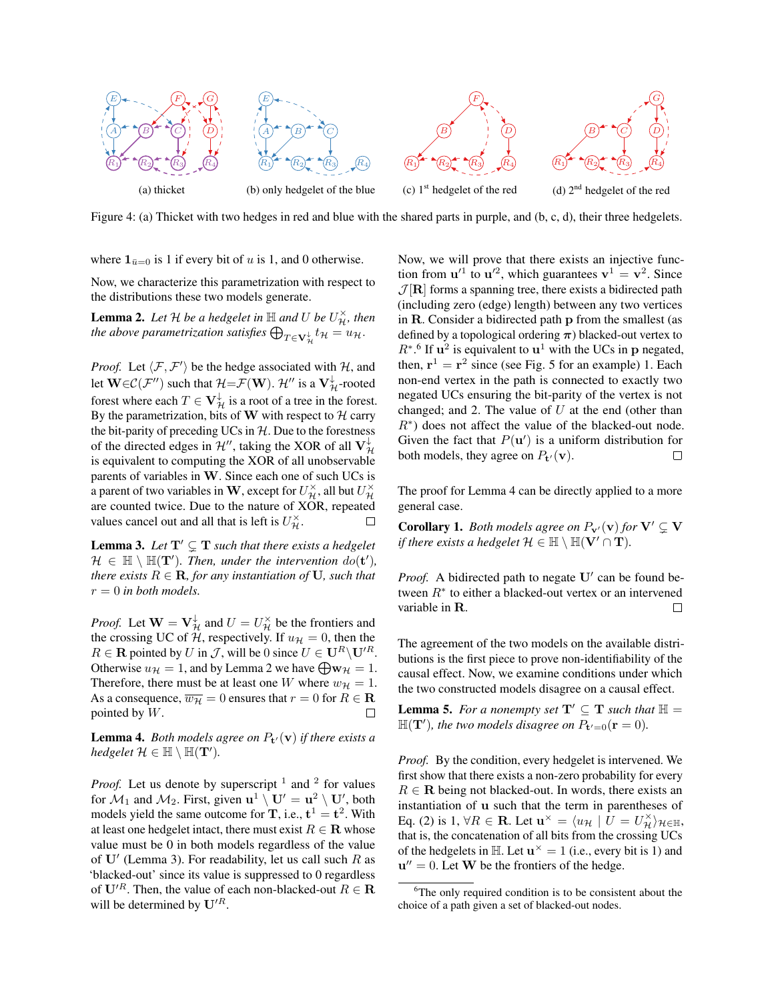

Figure 4: (a) Thicket with two hedges in red and blue with the shared parts in purple, and (b, c, d), their three hedgelets.

where  $\mathbf{1}_{\bar{u}=0}$  is 1 if every bit of *u* is 1, and 0 otherwise.

Now, we characterize this parametrization with respect to the distributions these two models generate.

**Lemma 2.** Let  $\mathcal{H}$  be a hedgelet in  $\mathbb{H}$  and  $U$  be  $U_{\mathcal{H}}^{\times}$ , then the above parametrization satisfies  $\bigoplus_{T\in \mathbf{V}_{\mathcal{H}}^{\downarrow}}t_{\mathcal{H}}=\overline{u}_{\mathcal{H}}.$ *H*

*Proof.* Let  $\langle F, F' \rangle$  be the hedge associated with *H*, and let  $\mathbf{W} \in \mathcal{C}(\mathcal{F}'')$  such that  $\mathcal{H} = \mathcal{F}(\mathbf{W})$ .  $\mathcal{H}''$  is a  $\mathbf{V}^{\downarrow}_{\mathcal{H}}$ -rooted forest where each  $T \in V_H^{\downarrow}$  is a root of a tree in the forest. By the parametrization, bits of W with respect to  $H$  carry the bit-parity of preceding UCs in *H*. Due to the forestness of the directed edges in  $\mathcal{H}^{\prime\prime}$ , taking the XOR of all  $V_{\mathcal{H}}^{\downarrow}$ is equivalent to computing the XOR of all unobservable parents of variables in W. Since each one of such UCs is a parent of two variables in **W**, except for  $U_{\mathcal{H}}^{\times}$ , all but  $U_{\mathcal{H}}^{\times}$ are counted twice. Due to the nature of XOR, repeated values cancel out and all that is left is  $U_{\mathcal{H}}^{\times}$ .  $\Box$ 

**Lemma 3.** Let  $T' \subseteq T$  such that there exists a hedgelet  $\mathcal{H} \in \mathbb{H} \setminus \mathbb{H}(\mathbf{T}')$ *. Then, under the intervention*  $do(\mathbf{t}'),$ *there exists*  $R \in \mathbf{R}$ *, for any instantiation of* **U***, such that*  $r = 0$  *in both models.* 

*Proof.* Let  $\mathbf{W} = \mathbf{V}_{\mathcal{H}}^{\downarrow}$  and  $U = U_{\mathcal{H}}^{\times}$  be the frontiers and the crossing UC of *H*, respectively. If  $u_{\mathcal{H}} = 0$ , then the  $R \in \mathbf{R}$  pointed by *U* in *J*, will be 0 since  $U \in \mathbf{U}^R \setminus \mathbf{U}'^R$ . Otherwise  $u_{\mathcal{H}} = 1$ , and by Lemma 2 we have  $\bigoplus \mathbf{w}_{\mathcal{H}} = 1$ . Therefore, there must be at least one *W* where  $w_{\mathcal{H}} = 1$ . As a consequence,  $\overline{w_H} = 0$  ensures that  $r = 0$  for  $R \in \mathbb{R}$ pointed by *W*.

**Lemma 4.** *Both models agree on*  $P_t(\mathbf{v})$  *if there exists a hedgelet*  $\mathcal{H} \in \mathbb{H} \setminus \mathbb{H}(\mathbf{T}').$ 

*Proof.* Let us denote by superscript  $<sup>1</sup>$  and  $<sup>2</sup>$  for values</sup></sup> for  $\mathcal{M}_1$  and  $\mathcal{M}_2$ . First, given  $\mathbf{u}^1 \setminus \mathbf{U}' = \mathbf{u}^2 \setminus \mathbf{U}'$ , both models yield the same outcome for **T**, i.e.,  $t^1 = t^2$ . With at least one hedgelet intact, there must exist  $R \in \mathbf{R}$  whose value must be 0 in both models regardless of the value of  $U'$  (Lemma 3). For readability, let us call such  $R$  as 'blacked-out' since its value is suppressed to 0 regardless of  $U^{\prime R}$ . Then, the value of each non-blacked-out  $R \in \mathbf{R}$ will be determined by  $U^{\prime R}$ .

Now, we will prove that there exists an injective function from  $u'^1$  to  $u'^2$ , which guarantees  $v^1 = v^2$ . Since  $J[\mathbf{R}]$  forms a spanning tree, there exists a bidirected path (including zero (edge) length) between any two vertices in R. Consider a bidirected path p from the smallest (as defined by a topological ordering  $\pi$ ) blacked-out vertex to  $R^*$ .<sup>6</sup> If  $u^2$  is equivalent to  $u^1$  with the UCs in p negated, then,  $r^1 = r^2$  since (see Fig. 5 for an example) 1. Each non-end vertex in the path is connected to exactly two negated UCs ensuring the bit-parity of the vertex is not changed; and 2. The value of *U* at the end (other than *R*<sup>\*</sup>) does not affect the value of the blacked-out node. Given the fact that  $P(\mathbf{u}')$  is a uniform distribution for both models, they agree on  $P_{t}(\mathbf{v})$ .  $\Box$ 

The proof for Lemma 4 can be directly applied to a more general case.

**Corollary 1.** *Both models agree on*  $P_{\mathbf{v}}(\mathbf{v})$  *for*  $\mathbf{V}' \subsetneq \mathbf{V}$ *if there exists a hedgelet*  $\mathcal{H} \in \mathbb{H} \setminus \mathbb{H}(V' \cap T)$ *.* 

*Proof.* A bidirected path to negate  $U'$  can be found between  $R^*$  to either a blacked-out vertex or an intervened variable in R.  $\Box$ 

The agreement of the two models on the available distributions is the first piece to prove non-identifiability of the causal effect. Now, we examine conditions under which the two constructed models disagree on a causal effect.

**Lemma 5.** For a nonempty set  $T' \subseteq T$  such that  $\mathbb{H} =$  $\mathbb{H}(\mathbf{T}')$ , the two models disagree on  $P_{\mathbf{t}'=0}(\mathbf{r} = 0)$ .

*Proof.* By the condition, every hedgelet is intervened. We first show that there exists a non-zero probability for every  $R \in \mathbf{R}$  being not blacked-out. In words, there exists an instantiation of u such that the term in parentheses of Eq. (2) is  $1, \forall R \in \mathbf{R}$ . Let  $\mathbf{u}^{\times} = \langle u_{\mathcal{H}} \mid U = U_{\mathcal{H}}^{\times} \rangle_{\mathcal{H} \in \mathbb{H}}$ , that is, the concatenation of all bits from the crossing UCs of the hedgelets in  $\mathbb{H}$ . Let  $\mathbf{u}^{\times} = 1$  (i.e., every bit is 1) and  $u'' = 0$ . Let W be the frontiers of the hedge.

<sup>&</sup>lt;sup>6</sup>The only required condition is to be consistent about the choice of a path given a set of blacked-out nodes.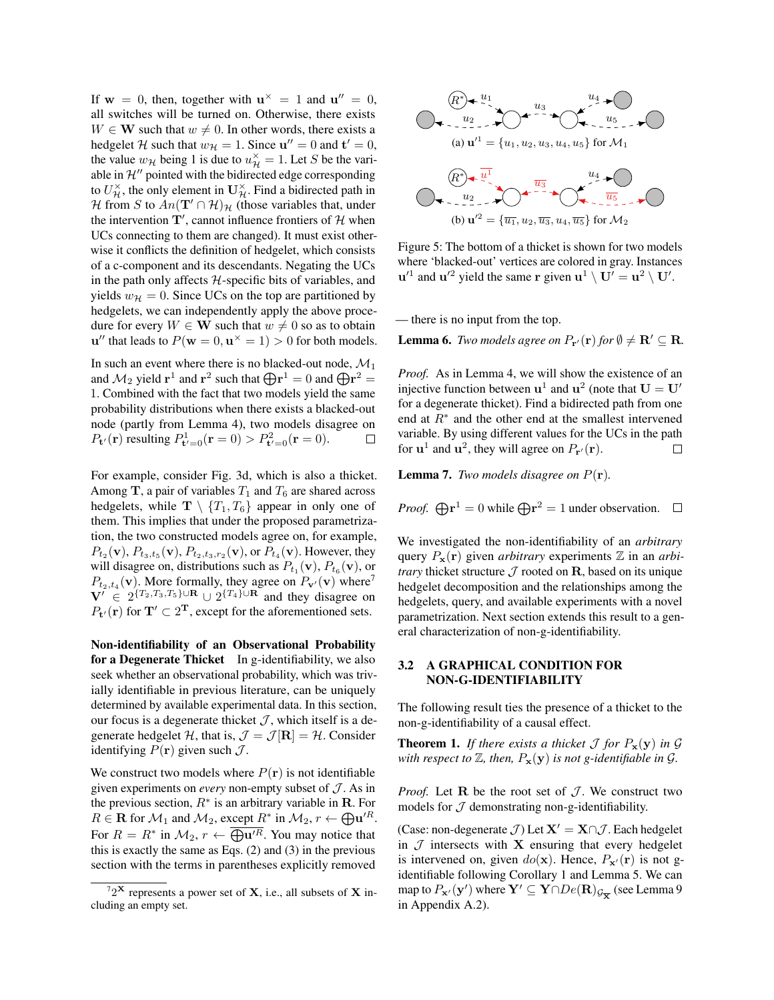If  $w = 0$ , then, together with  $u^{\times} = 1$  and  $u'' = 0$ , all switches will be turned on. Otherwise, there exists  $W \in \mathbf{W}$  such that  $w \neq 0$ . In other words, there exists a hedgelet *H* such that  $w_H = 1$ . Since  $\mathbf{u}'' = 0$  and  $\mathbf{t}' = 0$ , the value  $w_{\mathcal{H}}$  being 1 is due to  $u_{\mathcal{H}}^{\times} = 1$ . Let *S* be the variable in  $\mathcal{H}$ <sup> $\prime\prime$ </sup> pointed with the bidirected edge corresponding to  $U_{\mathcal{H}}^{\times}$ , the only element in  $U_{\mathcal{H}}^{\times}$ . Find a bidirected path in *H* from *S* to  $An(\mathbf{T}' \cap \mathcal{H})_{\mathcal{H}}$  (those variables that, under the intervention  $\mathbf{T}'$ , cannot influence frontiers of  $\mathcal{H}$  when UCs connecting to them are changed). It must exist otherwise it conflicts the definition of hedgelet, which consists of a c-component and its descendants. Negating the UCs in the path only affects *H*-specific bits of variables, and yields  $w_H = 0$ . Since UCs on the top are partitioned by hedgelets, we can independently apply the above procedure for every  $W \in W$  such that  $w \neq 0$  so as to obtain  $u''$  that leads to  $P(w = 0, u^{\times} = 1) > 0$  for both models.

In such an event where there is no blacked-out node,  $\mathcal{M}_1$ and  $\mathcal{M}_2$  yield  $\mathbf{r}^1$  and  $\mathbf{r}^2$  such that  $\bigoplus \mathbf{r}^1 = 0$  and  $\bigoplus \mathbf{r}^2 = 0$ 1. Combined with the fact that two models yield the same probability distributions when there exists a blacked-out node (partly from Lemma 4), two models disagree on  $P_{\mathbf{t}'}(\mathbf{r})$  resulting  $P_{\mathbf{t}'=0}^1(\mathbf{r} = 0) > P_{\mathbf{t}'=0}^2(\mathbf{r} = 0)$ .  $\Box$ 

For example, consider Fig. 3d, which is also a thicket. Among **T**, a pair of variables  $T_1$  and  $T_6$  are shared across hedgelets, while  $\mathbf{T} \setminus \{T_1, T_6\}$  appear in only one of them. This implies that under the proposed parametrization, the two constructed models agree on, for example,  $P_{t_2}(\mathbf{v})$ ,  $P_{t_3,t_5}(\mathbf{v})$ ,  $P_{t_2,t_3,r_2}(\mathbf{v})$ , or  $P_{t_4}(\mathbf{v})$ . However, they will disagree on, distributions such as  $P_{t_1}(\mathbf{v})$ ,  $P_{t_6}(\mathbf{v})$ , or  $P_{t_2,t_4}(\mathbf{v})$ . More formally, they agree on  $P_{\mathbf{v}'}(\mathbf{v})$  where<sup>7</sup>  $V' \in 2^{\{T_2, T_3, T_5\} \cup \mathbf{R}} \cup 2^{\{T_4\} \cup \mathbf{R}}$  and they disagree on  $P_{t'}(\mathbf{r})$  for  $\mathbf{T}' \subset 2^{\mathbf{T}}$ , except for the aforementioned sets.

Non-identifiability of an Observational Probability for a Degenerate Thicket In g-identifiability, we also seek whether an observational probability, which was trivially identifiable in previous literature, can be uniquely determined by available experimental data. In this section, our focus is a degenerate thicket  $J$ , which itself is a degenerate hedgelet *H*, that is,  $\mathcal{J} = \mathcal{J}[\mathbf{R}] = \mathcal{H}$ . Consider identifying  $P(\mathbf{r})$  given such  $\mathcal{J}$ .

We construct two models where  $P(\mathbf{r})$  is not identifiable given experiments on *every* non-empty subset of *J* . As in the previous section,  $R^*$  is an arbitrary variable in R. For  $R \in \mathbf{R}$  for  $\mathcal{M}_1$  and  $\mathcal{M}_2$ , except  $R^*$  in  $\mathcal{M}_2$ ,  $r \leftarrow \bigoplus \mathbf{u}'^R$ . For  $R = R^*$  in  $\mathcal{M}_2$ ,  $r \leftarrow \overline{\bigoplus \mathbf{u}'^R}$ . You may notice that this is exactly the same as Eqs. (2) and (3) in the previous section with the terms in parentheses explicitly removed



Figure 5: The bottom of a thicket is shown for two models where 'blacked-out' vertices are colored in gray. Instances  $u'^1$  and  $u'^2$  yield the same r given  $u^1 \setminus U' = u^2 \setminus U'.$ 

— there is no input from the top.

**Lemma 6.** *Two models agree on*  $P_{\mathbf{r}'}(\mathbf{r})$  *for*  $\emptyset \neq \mathbf{R}' \subseteq \mathbf{R}$ *.* 

*Proof.* As in Lemma 4, we will show the existence of an injective function between  $\mathbf{u}^1$  and  $\mathbf{u}^2$  (note that  $\mathbf{U} = \mathbf{U}'$ for a degenerate thicket). Find a bidirected path from one end at  $R^*$  and the other end at the smallest intervened variable. By using different values for the UCs in the path for  $\mathbf{u}^1$  and  $\mathbf{u}^2$ , they will agree on  $P_{\mathbf{r}'}(\mathbf{r})$ .  $\Box$ 

**Lemma 7.** *Two models disagree on*  $P(\mathbf{r})$ *.* 

*Proof.* 
$$
\bigoplus \mathbf{r}^1 = 0
$$
 while  $\bigoplus \mathbf{r}^2 = 1$  under observation.  $\Box$ 

We investigated the non-identifiability of an *arbitrary* query  $P_x(r)$  given *arbitrary* experiments  $\mathbb Z$  in an *arbitrary* thicket structure  $J$  rooted on R, based on its unique hedgelet decomposition and the relationships among the hedgelets, query, and available experiments with a novel parametrization. Next section extends this result to a general characterization of non-g-identifiability.

#### 3.2 A GRAPHICAL CONDITION FOR NON-G-IDENTIFIABILITY

The following result ties the presence of a thicket to the non-g-identifiability of a causal effect.

**Theorem 1.** If there exists a thicket  $\mathcal J$  for  $P_x(y)$  in  $\mathcal G$ *with respect to*  $\mathbb{Z}$ *, then,*  $P_x(y)$  *is not g-identifiable in*  $\mathcal{G}$ *.* 

*Proof.* Let  $R$  be the root set of  $J$ . We construct two models for  $J$  demonstrating non-g-identifiability.

(Case: non-degenerate *J*) Let  $X' = X \cap J$ . Each hedgelet in  $J$  intersects with  $X$  ensuring that every hedgelet is intervened on, given  $do(x)$ . Hence,  $P_{x}(r)$  is not gidentifiable following Corollary 1 and Lemma 5. We can map to  $P_{\mathbf{x}'}(\mathbf{y}')$  where  $\mathbf{Y}' \subseteq \mathbf{Y} \cap De(\mathbf{R})_{\mathcal{G}_{\overline{\mathbf{X}}}}$  (see Lemma 9 in Appendix A.2).

 $72^{\mathbf{X}}$  represents a power set of **X**, i.e., all subsets of **X** including an empty set.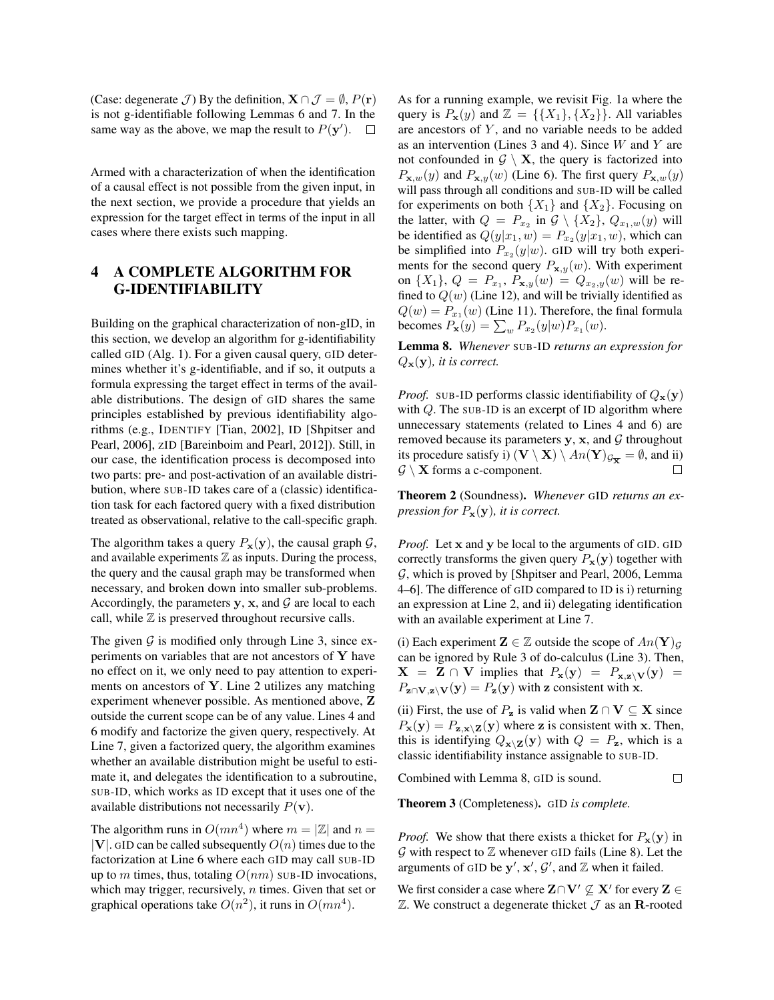(Case: degenerate *J*) By the definition,  $X \cap J = \emptyset$ ,  $P(\mathbf{r})$ is not g-identifiable following Lemmas 6 and 7. In the same way as the above, we map the result to  $P(y')$ .  $\Box$ 

Armed with a characterization of when the identification of a causal effect is not possible from the given input, in the next section, we provide a procedure that yields an expression for the target effect in terms of the input in all cases where there exists such mapping.

# 4 A COMPLETE ALGORITHM FOR G-IDENTIFIABILITY

Building on the graphical characterization of non-gID, in this section, we develop an algorithm for g-identifiability called GID (Alg. 1). For a given causal query, GID determines whether it's g-identifiable, and if so, it outputs a formula expressing the target effect in terms of the available distributions. The design of GID shares the same principles established by previous identifiability algorithms (e.g., IDENTIFY [Tian, 2002], ID [Shpitser and Pearl, 2006], ZID [Bareinboim and Pearl, 2012]). Still, in our case, the identification process is decomposed into two parts: pre- and post-activation of an available distribution, where SUB-ID takes care of a (classic) identification task for each factored query with a fixed distribution treated as observational, relative to the call-specific graph.

The algorithm takes a query  $P_x(y)$ , the causal graph  $\mathcal{G}$ , and available experiments  $\mathbb Z$  as inputs. During the process, the query and the causal graph may be transformed when necessary, and broken down into smaller sub-problems. Accordingly, the parameters y, x, and  $\mathcal G$  are local to each call, while  $Z$  is preserved throughout recursive calls.

The given  $G$  is modified only through Line 3, since experiments on variables that are not ancestors of  $Y$  have no effect on it, we only need to pay attention to experiments on ancestors of Y. Line 2 utilizes any matching experiment whenever possible. As mentioned above, Z outside the current scope can be of any value. Lines 4 and 6 modify and factorize the given query, respectively. At Line 7, given a factorized query, the algorithm examines whether an available distribution might be useful to estimate it, and delegates the identification to a subroutine, SUB-ID, which works as ID except that it uses one of the available distributions not necessarily  $P(\mathbf{v})$ .

The algorithm runs in  $O(mn^4)$  where  $m = |Z|$  and  $n =$ *|V|*. GID can be called subsequently  $O(n)$  times due to the factorization at Line 6 where each GID may call SUB-ID up to *m* times, thus, totaling  $O(nm)$  SUB-ID invocations, which may trigger, recursively, *n* times. Given that set or graphical operations take  $O(n^2)$ , it runs in  $O(mn^4)$ .

As for a running example, we revisit Fig. 1a where the query is  $P_x(y)$  and  $\mathbb{Z} = \{\{X_1\}, \{X_2\}\}\.$  All variables are ancestors of *Y* , and no variable needs to be added as an intervention (Lines 3 and 4). Since *W* and *Y* are not confounded in  $G \setminus X$ , the query is factorized into  $P_{\mathbf{x},w}(y)$  and  $P_{\mathbf{x},y}(w)$  (Line 6). The first query  $P_{\mathbf{x},w}(y)$ will pass through all conditions and SUB-ID will be called for experiments on both  $\{X_1\}$  and  $\{X_2\}$ . Focusing on the latter, with  $Q = P_{x_2}$  in  $G \setminus \{X_2\}$ ,  $Q_{x_1,w}(y)$  will be identified as  $Q(y|x_1, w) = P_{x_2}(y|x_1, w)$ , which can be simplified into  $P_{x_2}(y|w)$ . GID will try both experiments for the second query  $P_{\mathbf{x},y}(w)$ . With experiment on  $\{X_1\}$ ,  $Q = P_{x_1}$ ,  $P_{\mathbf{x},y}(w) = Q_{x_2,y}(w)$  will be refined to  $Q(w)$  (Line 12), and will be trivially identified as  $Q(w) = P_{x_1}(w)$  (Line 11). Therefore, the final formula becomes  $P_x(y) = \sum_{w} P_{x_2}(y|w) P_{x_1}(w)$ .

Lemma 8. *Whenever* SUB-ID *returns an expression for Q*x(y)*, it is correct.*

*Proof.* SUB-ID performs classic identifiability of  $Q_{\mathbf{x}}(\mathbf{y})$ with *Q*. The SUB-ID is an excerpt of ID algorithm where unnecessary statements (related to Lines 4 and 6) are removed because its parameters  $y$ ,  $x$ , and  $\mathcal G$  throughout its procedure satisfy i)  $(\mathbf{V} \setminus \mathbf{X}) \setminus An(\mathbf{Y})_{\mathcal{G}_{\overline{\mathbf{X}}}} = \emptyset$ , and ii)  $G \setminus X$  forms a c-component.

Theorem 2 (Soundness). *Whenever* GID *returns an expression for*  $P_x(y)$ *, it is correct.* 

*Proof.* Let x and y be local to the arguments of GID. GID correctly transforms the given query  $P_x(y)$  together with *G*, which is proved by [Shpitser and Pearl, 2006, Lemma 4–6]. The difference of GID compared to ID is i) returning an expression at Line 2, and ii) delegating identification with an available experiment at Line 7.

(i) Each experiment  $\mathbf{Z} \in \mathbb{Z}$  outside the scope of  $An(\mathbf{Y})_G$ can be ignored by Rule 3 of do-calculus (Line 3). Then,  $X = Z \cap V$  implies that  $P_x(y) = P_{x,z}V(y) =$  $P_{\mathbf{z}\cap\mathbf{V},\mathbf{z}\setminus\mathbf{V}}(\mathbf{y}) = P_{\mathbf{z}}(\mathbf{y})$  with z consistent with x.

(ii) First, the use of  $P_{\mathbf{z}}$  is valid when  $\mathbf{Z} \cap \mathbf{V} \subseteq \mathbf{X}$  since  $P_x(y) = P_{z,x} \setminus Z(y)$  where z is consistent with x. Then, this is identifying  $Q_{\mathbf{x} \setminus \mathbf{Z}}(\mathbf{y})$  with  $Q = P_{\mathbf{z}}$ , which is a classic identifiability instance assignable to SUB-ID.

 $\Box$ 

Combined with Lemma 8, GID is sound.

Theorem 3 (Completeness). GID *is complete.*

*Proof.* We show that there exists a thicket for  $P_x(y)$  in  $G$  with respect to  $Z$  whenever GID fails (Line 8). Let the arguments of GID be  $y'$ ,  $x'$ ,  $\mathcal{G}'$ , and  $\mathbb{Z}$  when it failed.

We first consider a case where  $\mathbf{Z}\cap\mathbf{V}'\nsubseteq\mathbf{X}'$  for every  $\mathbf{Z}\in\mathcal{Z}'$  $\mathbb Z$ . We construct a degenerate thicket  $\mathcal J$  as an R-rooted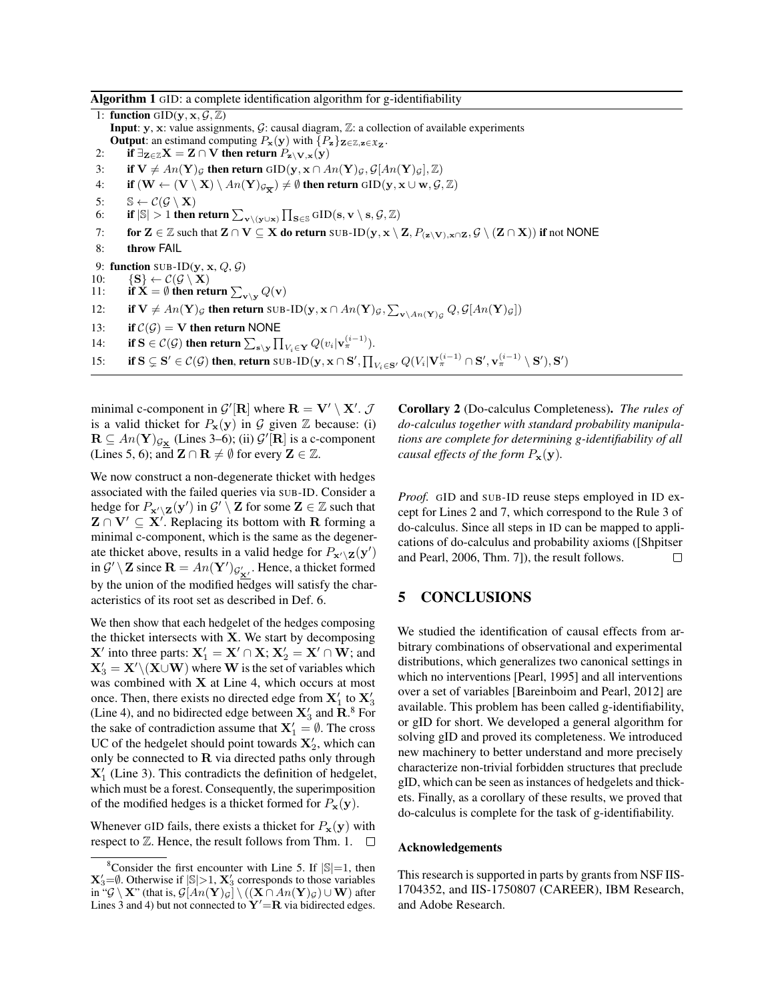#### Algorithm 1 GID: a complete identification algorithm for g-identifiability

1: **function** GID $(y, x, \mathcal{G}, \mathbb{Z})$ **Input:**  $y$ ,  $x$ : value assignments,  $\mathcal{G}$ : causal diagram,  $\mathbb{Z}$ : a collection of available experiments **Output:** an estimand computing  $P_x(y)$  with  $\{P_z\}_{\mathbf{Z}\in\mathbb{Z},\mathbf{z}\in\mathfrak{X}_{\mathbf{Z}}}$ . 2: if  $\exists z \in \mathbb{Z}$   $X = Z \cap V$  then return  $P_{z \setminus V, x}(y)$ 3: if  $V \neq An(Y)_{\mathcal{G}}$  then return  $GID(y, x \cap An(Y)_{\mathcal{G}}, \mathcal{G}[An(Y)_{\mathcal{G}}], \mathbb{Z})$ <br>4: if  $(W \leftarrow (V \setminus X) \setminus An(Y)_{\mathcal{G}_{\text{av}}}) \neq \emptyset$  then return  $GID(y, x \cup w, \mathcal{G})$ . if  $(W \leftarrow (V \setminus X) \setminus An(Y)_{\mathcal{G}_{\overline{X}}} \neq \emptyset$  then return  $\text{GID}(y, x \cup w, \mathcal{G}, \mathbb{Z})$ 5:  $\mathbb{S} \leftarrow C(\mathcal{G} \setminus \mathbf{X})$ <br>6: if  $|\mathbb{S}| > 1$  then 6: if  $|\mathbb{S}| > 1$  then return  $\sum_{\mathbf{v} \setminus (\mathbf{y} \cup \mathbf{x})} \prod_{\mathbf{S} \in \mathbb{S}} \operatorname{GID}(\mathbf{s}, \mathbf{v} \setminus \mathbf{s}, \mathcal{G}, \mathbb{Z})$ 7: for  $\mathbf{Z} \in \mathbb{Z}$  such that  $\mathbf{Z} \cap \mathbf{V} \subseteq \mathbf{X}$  do return SUB-ID $(y, x \setminus \mathbf{Z}, P_{(\mathbf{z} \setminus \mathbf{V}), x \cap \mathbf{Z}}, \mathcal{G} \setminus (\mathbf{Z} \cap \mathbf{X}))$  if not NONE 8: throw FAIL 9: **function** SUB-ID(y, x, Q, G)<br>10: {S}  $\leftarrow C(G \setminus X)$ 10:  ${S} \leftarrow C(G \setminus X)$ <br>11: **if**  $X = \emptyset$  then ret 11: if  $\dot{\mathbf{X}} = \emptyset$  then return  $\sum_{\mathbf{v} \setminus \mathbf{y}} Q(\mathbf{v})$ 12: if  $V \neq An(Y)_{\mathcal{G}}$  then return SUB-ID( $y, x \cap An(Y)_{\mathcal{G}}, \sum_{v \setminus An(Y)_{\mathcal{G}}} Q, \mathcal{G}[An(Y)_{\mathcal{G}}]$ ) 13: **if**  $C(G) = V$  then return NONE<br>14: **if**  $S \in C(G)$  then return  $\sum_{n \ge 1} \prod_{n=1}^{n}$ 14: **if**  $S \in C(G)$  then return  $\sum_{s\setminus y} \prod_{V_i \in Y} Q(v_i | v_\pi^{(i-1)})$ . 15: if  $S \subsetneq S' \in \mathcal{C}(\mathcal{G})$  then, return  $SUB-ID(\mathbf{y}, \mathbf{x} \cap S', \prod_{V_i \in S'} Q(V_i | \mathbf{V}_{\pi}^{(i-1)} \cap S', \mathbf{v}_{\pi}^{(i-1)} \setminus S'), \mathbf{S}')$ 

minimal c-component in  $\mathcal{G}'[\mathbf{R}]$  where  $\mathbf{R} = \mathbf{V}' \setminus \mathbf{X}'$ .  $\mathcal{J}$ is a valid thicket for  $P_x(y)$  in  $G$  given  $Z$  because: (i)  $\mathbf{R} \subseteq An(\mathbf{Y})_{\mathcal{G}_{\mathbf{X}}}$  (Lines 3–6); (ii)  $\mathcal{G}'[\mathbf{R}]$  is a c-component (Lines 5, 6); and  $\mathbf{Z} \cap \mathbf{R} \neq \emptyset$  for every  $\mathbf{Z} \in \mathbb{Z}$ .

We now construct a non-degenerate thicket with hedges associated with the failed queries via SUB-ID. Consider a hedge for  $P_{\mathbf{x}'\setminus\mathbf{Z}}(\mathbf{y}')$  in  $\mathcal{G}'\setminus\mathbf{Z}$  for some  $\mathbf{Z}\in\mathbb{Z}$  such that  $\mathbf{Z} \cap \mathbf{V}' \subseteq \mathbf{X}'$ . Replacing its bottom with R forming a minimal c-component, which is the same as the degenerate thicket above, results in a valid hedge for  $P_{\mathbf{x}'\setminus\mathbf{Z}}(\mathbf{y}')$ in  $\mathcal{G}' \setminus \mathbf{Z}$  since  $\mathbf{R} = An(\mathbf{Y}')_{\mathcal{G}'_{\mathbf{X}'}}$ . Hence, a thicket formed by the union of the modified hedges will satisfy the characteristics of its root set as described in Def. 6.

We then show that each hedgelet of the hedges composing the thicket intersects with X. We start by decomposing  $X'$  into three parts:  $X'_1 = X' \cap X$ ;  $X'_2 = X' \cap W$ ; and  $X_3' = X' \setminus (X \cup W)$  where W is the set of variables which was combined with  $X$  at Line 4, which occurs at most once. Then, there exists no directed edge from  $X'_1$  to  $X'_3$ (Line 4), and no bidirected edge between  $\mathbf{X}'_3$  and  $\mathbf{R}$ .<sup>8</sup> For the sake of contradiction assume that  $X'_1 = \emptyset$ . The cross UC of the hedgelet should point towards  $X'_2$ , which can only be connected to  $\bf R$  via directed paths only through  $X'_1$  (Line 3). This contradicts the definition of hedgelet, which must be a forest. Consequently, the superimposition of the modified hedges is a thicket formed for  $P_x(y)$ .

Whenever GID fails, there exists a thicket for  $P_x(y)$  with respect to  $\mathbb Z$ . Hence, the result follows from Thm. 1.  $\Box$  Corollary 2 (Do-calculus Completeness). *The rules of do-calculus together with standard probability manipulations are complete for determining g-identifiability of all causal effects of the form*  $P_x(y)$ *.* 

*Proof.* GID and SUB-ID reuse steps employed in ID except for Lines 2 and 7, which correspond to the Rule 3 of do-calculus. Since all steps in ID can be mapped to applications of do-calculus and probability axioms ([Shpitser and Pearl, 2006, Thm. 7]), the result follows.  $\Box$ 

### 5 CONCLUSIONS

We studied the identification of causal effects from arbitrary combinations of observational and experimental distributions, which generalizes two canonical settings in which no interventions [Pearl, 1995] and all interventions over a set of variables [Bareinboim and Pearl, 2012] are available. This problem has been called g-identifiability, or gID for short. We developed a general algorithm for solving gID and proved its completeness. We introduced new machinery to better understand and more precisely characterize non-trivial forbidden structures that preclude gID, which can be seen as instances of hedgelets and thickets. Finally, as a corollary of these results, we proved that do-calculus is complete for the task of g-identifiability.

#### Acknowledgements

This research is supported in parts by grants from NSF IIS-1704352, and IIS-1750807 (CAREER), IBM Research, and Adobe Research.

<sup>&</sup>lt;sup>8</sup>Consider the first encounter with Line 5. If  $|\mathbb{S}|=1$ , then  $\mathbf{X}'_3 = \emptyset$ . Otherwise if  $|\mathbb{S}| > 1$ ,  $\mathbf{X}'_3$  corresponds to those variables in " $\mathcal{G} \setminus \mathbf{X}$ " (that is,  $\mathcal{G}[An(\mathbf{Y})_{\mathcal{G}}] \setminus ((\mathbf{X} \cap An(\mathbf{Y})_{\mathcal{G}}) \cup \mathbf{W})$  after Lines 3 and 4) but not connected to  $Y' = R$  via bidirected edges.